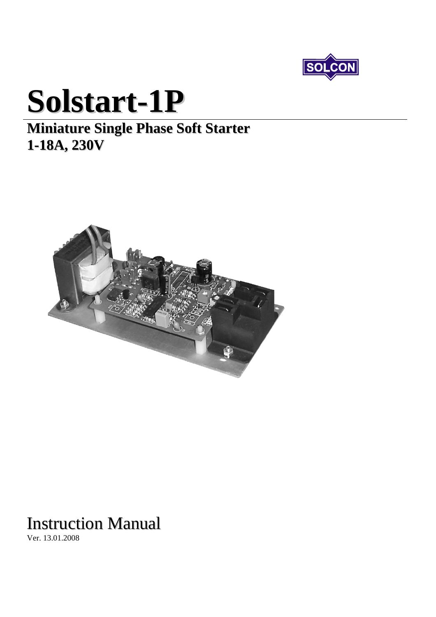

# **Solstart-1P**

### **Miniature Single Phase Soft Starter 1-18A, 230V**



## Instruction Manual

Ver. 13.01.2008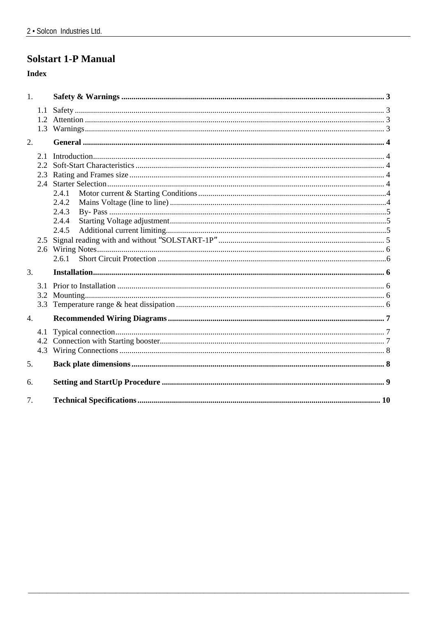#### **Solstart 1-P Manual**

#### **Index**

| 1 <sub>1</sub>   |       |  |
|------------------|-------|--|
|                  |       |  |
|                  |       |  |
|                  |       |  |
| 2.               |       |  |
|                  |       |  |
|                  |       |  |
|                  |       |  |
|                  | 2.4.1 |  |
|                  | 2.4.2 |  |
|                  | 2.4.3 |  |
|                  | 2.4.4 |  |
|                  | 2.4.5 |  |
|                  |       |  |
|                  |       |  |
|                  | 2.6.1 |  |
| $\overline{3}$ . |       |  |
|                  |       |  |
|                  |       |  |
|                  |       |  |
| $\overline{4}$ . |       |  |
|                  |       |  |
|                  |       |  |
|                  |       |  |
| 5.               |       |  |
| 6.               |       |  |
| 7.               |       |  |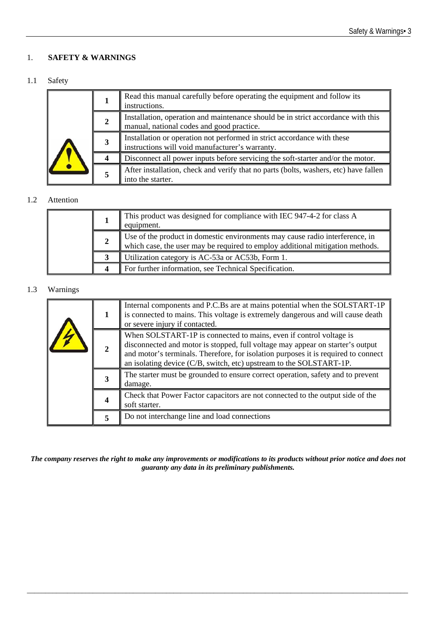#### <span id="page-2-0"></span>1. **SAFETY & WARNINGS**

#### 1.1 Safety

|   | Read this manual carefully before operating the equipment and follow its<br>instructions.                                     |
|---|-------------------------------------------------------------------------------------------------------------------------------|
| 2 | Installation, operation and maintenance should be in strict accordance with this<br>manual, national codes and good practice. |
| 3 | Installation or operation not performed in strict accordance with these<br>instructions will void manufacturer's warranty.    |
|   | Disconnect all power inputs before servicing the soft-starter and/or the motor.                                               |
|   | After installation, check and verify that no parts (bolts, washers, etc) have fallen<br>into the starter.                     |

#### 1.2 Attention

|   | This product was designed for compliance with IEC 947-4-2 for class A<br>equipment.                                                                           |
|---|---------------------------------------------------------------------------------------------------------------------------------------------------------------|
| 2 | Use of the product in domestic environments may cause radio interference, in<br>which case, the user may be required to employ additional mitigation methods. |
|   | Utilization category is AC-53a or AC53b, Form 1.                                                                                                              |
| 4 | For further information, see Technical Specification.                                                                                                         |

#### 1.3 Warnings

| 1           | Internal components and P.C.Bs are at mains potential when the SOLSTART-1P<br>is connected to mains. This voltage is extremely dangerous and will cause death<br>or severe injury if contacted.                                                                                                                   |
|-------------|-------------------------------------------------------------------------------------------------------------------------------------------------------------------------------------------------------------------------------------------------------------------------------------------------------------------|
| $\mathbf 2$ | When SOLSTART-1P is connected to mains, even if control voltage is<br>disconnected and motor is stopped, full voltage may appear on starter's output<br>and motor's terminals. Therefore, for isolation purposes it is required to connect<br>an isolating device (C/B, switch, etc) upstream to the SOLSTART-1P. |
| 3           | The starter must be grounded to ensure correct operation, safety and to prevent<br>damage.                                                                                                                                                                                                                        |
|             | Check that Power Factor capacitors are not connected to the output side of the<br>soft starter.                                                                                                                                                                                                                   |
| 5           | Do not interchange line and load connections                                                                                                                                                                                                                                                                      |

*The company reserves the right to make any improvements or modifications to its products without prior notice and does not guaranty any data in its preliminary publishments.* 

\_\_\_\_\_\_\_\_\_\_\_\_\_\_\_\_\_\_\_\_\_\_\_\_\_\_\_\_\_\_\_\_\_\_\_\_\_\_\_\_\_\_\_\_\_\_\_\_\_\_\_\_\_\_\_\_\_\_\_\_\_\_\_\_\_\_\_\_\_\_\_\_\_\_\_\_\_\_\_\_\_\_\_\_\_\_\_\_\_\_\_\_\_\_\_\_\_\_\_\_\_\_\_\_ **3**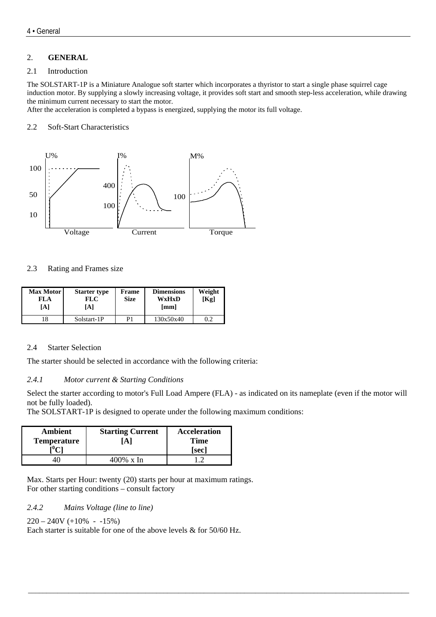#### <span id="page-3-0"></span>2. **GENERAL**

#### 2.1 Introduction

The SOLSTART-1P is a Miniature Analogue soft starter which incorporates a thyristor to start a single phase squirrel cage induction motor. By supplying a slowly increasing voltage, it provides soft start and smooth step-less acceleration, while drawing the minimum current necessary to start the motor.

After the acceleration is completed a bypass is energized, supplying the motor its full voltage.

#### 2.2 Soft-Start Characteristics



#### 2.3 Rating and Frames size

| <b>Max Motor</b> I<br>FLA<br>[A] | <b>Starter type</b><br><b>FLC</b><br>[A] | Frame<br><b>Size</b> | <b>Dimensions</b><br>WxHxD<br>[mm] | Weight<br>[Kg] |
|----------------------------------|------------------------------------------|----------------------|------------------------------------|----------------|
| 18                               | Solstart-1P                              | D1                   | 130x50x40                          | 0.2            |

#### 2.4 Starter Selection

The starter should be selected in accordance with the following criteria:

#### *2.4.1 Motor current & Starting Conditions*

Select the starter according to motor's Full Load Ampere (FLA) - as indicated on its nameplate (even if the motor will not be fully loaded).

\_\_\_\_\_\_\_\_\_\_\_\_\_\_\_\_\_\_\_\_\_\_\_\_\_\_\_\_\_\_\_\_\_\_\_\_\_\_\_\_\_\_\_\_\_\_\_\_\_\_\_\_\_\_\_\_\_\_\_\_\_\_\_\_\_\_\_\_\_\_\_\_\_\_\_\_\_\_\_\_\_\_\_\_\_\_\_\_\_\_\_\_\_\_\_\_\_\_\_\_\_\_\_\_

The SOLSTART-1P is designed to operate under the following maximum conditions:

| Ambient<br><b>Temperature</b> | <b>Starting Current</b><br>A | <b>Acceleration</b><br><b>Time</b><br>[sec] |
|-------------------------------|------------------------------|---------------------------------------------|
|                               | 400% x In                    |                                             |

Max. Starts per Hour: twenty (20) starts per hour at maximum ratings. For other starting conditions – consult factory

*2.4.2 Mains Voltage (line to line)* 

```
220 - 240V (+10\% - 15\%)
```
Each starter is suitable for one of the above levels & for 50/60 Hz.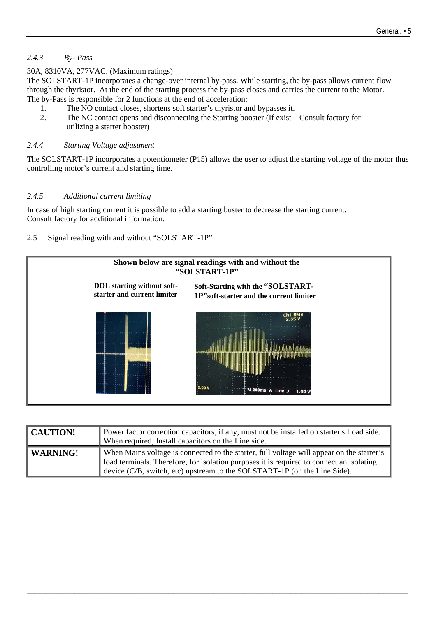#### <span id="page-4-0"></span>*2.4.3 By- Pass*

30A, 8310VA, 277VAC. (Maximum ratings)

The SOLSTART-1P incorporates a change-over internal by-pass. While starting, the by-pass allows current flow through the thyristor. At the end of the starting process the by-pass closes and carries the current to the Motor. The by-Pass is responsible for 2 functions at the end of acceleration:

- 1. The NO contact closes, shortens soft starter's thyristor and bypasses it.
- 2. The NC contact opens and disconnecting the Starting booster (If exist Consult factory for utilizing a starter booster)

#### *2.4.4 Starting Voltage adjustment*

The SOLSTART-1P incorporates a potentiometer (P15) allows the user to adjust the starting voltage of the motor thus controlling motor's current and starting time.

#### *2.4.5 Additional current limiting*

In case of high starting current it is possible to add a starting buster to decrease the starting current. Consult factory for additional information.

#### 2.5 Signal reading with and without "SOLSTART-1P"



| <b>CAUTION!</b> | Power factor correction capacitors, if any, must not be installed on starter's Load side.<br>When required, Install capacitors on the Line side.                                                                                                                      |
|-----------------|-----------------------------------------------------------------------------------------------------------------------------------------------------------------------------------------------------------------------------------------------------------------------|
| WARNING!        | When Mains voltage is connected to the starter, full voltage will appear on the starter's<br>load terminals. Therefore, for isolation purposes it is required to connect an isolating<br>device $(C/B$ , switch, etc) upstream to the SOLSTART-1P (on the Line Side). |

\_\_\_\_\_\_\_\_\_\_\_\_\_\_\_\_\_\_\_\_\_\_\_\_\_\_\_\_\_\_\_\_\_\_\_\_\_\_\_\_\_\_\_\_\_\_\_\_\_\_\_\_\_\_\_\_\_\_\_\_\_\_\_\_\_\_\_\_\_\_\_\_\_\_\_\_\_\_\_\_\_\_\_\_\_\_\_\_\_\_\_\_\_\_\_\_\_\_\_\_\_\_\_\_ **3**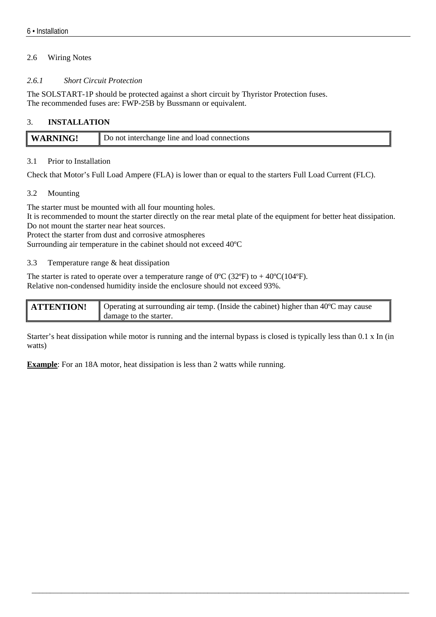#### <span id="page-5-0"></span>2.6 Wiring Notes

#### *2.6.1 Short Circuit Protection*

The SOLSTART-1P should be protected against a short circuit by Thyristor Protection fuses. The recommended fuses are: FWP-25B by Bussmann or equivalent.

#### 3. **INSTALLATION**

| l W | Do not interchange line and load connections |
|-----|----------------------------------------------|
|     |                                              |

#### 3.1 Prior to Installation

Check that Motor's Full Load Ampere (FLA) is lower than or equal to the starters Full Load Current (FLC).

#### 3.2 Mounting

The starter must be mounted with all four mounting holes.

It is recommended to mount the starter directly on the rear metal plate of the equipment for better heat dissipation. Do not mount the starter near heat sources.

Protect the starter from dust and corrosive atmospheres

Surrounding air temperature in the cabinet should not exceed 40ºC

#### 3.3 Temperature range & heat dissipation

The starter is rated to operate over a temperature range of  $0^{\circ}C$  (32 $^{\circ}F$ ) to +40 $^{\circ}C$ (104 $^{\circ}F$ ). Relative non-condensed humidity inside the enclosure should not exceed 93%.

| <b>ATTENTION!</b> | ■ Operating at surrounding air temp. (Inside the cabinet) higher than 40°C may cause |
|-------------------|--------------------------------------------------------------------------------------|
|                   | damage to the starter.                                                               |

Starter's heat dissipation while motor is running and the internal bypass is closed is typically less than 0.1 x In (in watts)

**Example**: For an 18A motor, heat dissipation is less than 2 watts while running.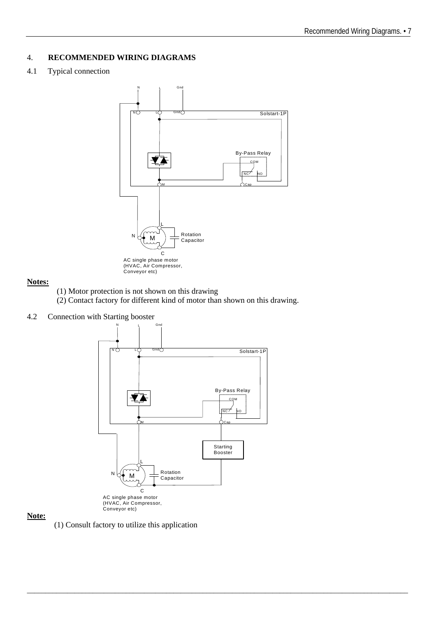#### <span id="page-6-0"></span>4. **RECOMMENDED WIRING DIAGRAMS**

#### 4.1 Typical connection



#### **Notes:**

(1) Motor protection is not shown on this drawing

(2) Contact factory for different kind of motor than shown on this drawing.

#### 4.2 Connection with Starting booster



\_\_\_\_\_\_\_\_\_\_\_\_\_\_\_\_\_\_\_\_\_\_\_\_\_\_\_\_\_\_\_\_\_\_\_\_\_\_\_\_\_\_\_\_\_\_\_\_\_\_\_\_\_\_\_\_\_\_\_\_\_\_\_\_\_\_\_\_\_\_\_\_\_\_\_\_\_\_\_\_\_\_\_\_\_\_\_\_\_\_\_\_\_\_\_\_\_\_\_\_\_\_\_\_ **9**

#### **Note:**

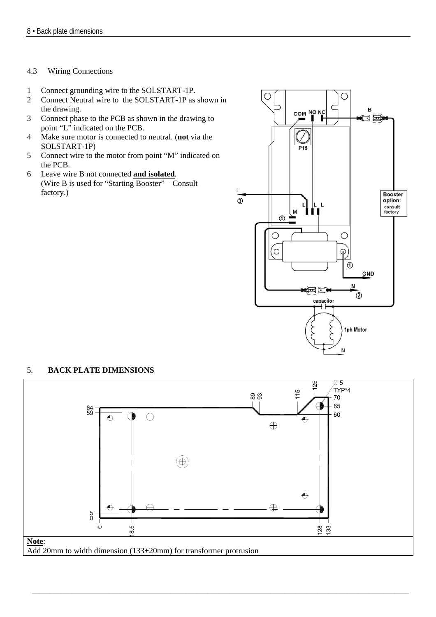#### <span id="page-7-0"></span>4.3 Wiring Connections

- 1 Connect grounding wire to the SOLSTART-1P.
- 2 Connect Neutral wire to the SOLSTART-1P as shown in the drawing.
- 3 Connect phase to the PCB as shown in the drawing to point "L" indicated on the PCB.
- 4 Make sure motor is connected to neutral. (**not** via the SOLSTART-1P)
- 5 Connect wire to the motor from point "M" indicated on the PCB.
- 6 Leave wire B not connected **and isolated**. (Wire B is used for "Starting Booster" – Consult factory.)



#### 5. **BACK PLATE DIMENSIONS**



\_\_\_\_\_\_\_\_\_\_\_\_\_\_\_\_\_\_\_\_\_\_\_\_\_\_\_\_\_\_\_\_\_\_\_\_\_\_\_\_\_\_\_\_\_\_\_\_\_\_\_\_\_\_\_\_\_\_\_\_\_\_\_\_\_\_\_\_\_\_\_\_\_\_\_\_\_\_\_\_\_\_\_\_\_\_\_\_\_\_\_\_\_\_\_\_\_\_\_\_\_\_\_ **9**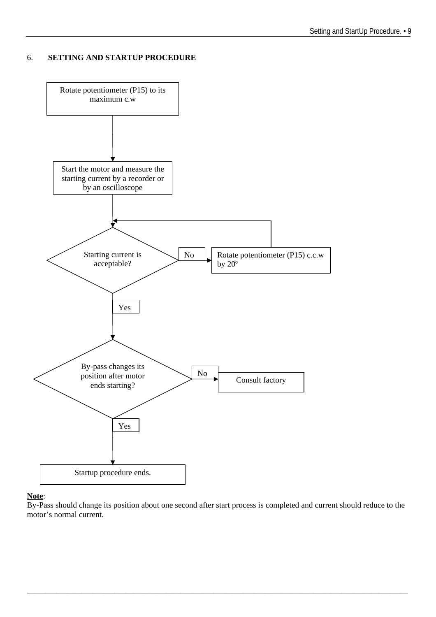#### <span id="page-8-0"></span>6. **SETTING AND STARTUP PROCEDURE**



#### **Note**:

By-Pass should change its position about one second after start process is completed and current should reduce to the motor's normal current.

\_\_\_\_\_\_\_\_\_\_\_\_\_\_\_\_\_\_\_\_\_\_\_\_\_\_\_\_\_\_\_\_\_\_\_\_\_\_\_\_\_\_\_\_\_\_\_\_\_\_\_\_\_\_\_\_\_\_\_\_\_\_\_\_\_\_\_\_\_\_\_\_\_\_\_\_\_\_\_\_\_\_\_\_\_\_\_\_\_\_\_\_\_\_\_\_\_\_\_\_\_\_\_\_ **9**